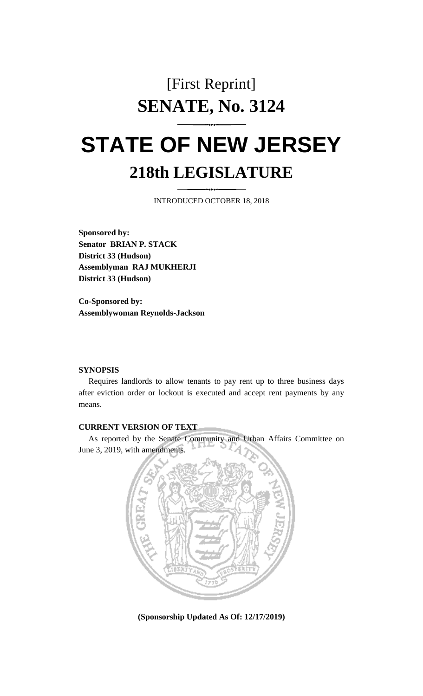## [First Reprint] **SENATE, No. 3124**

## **STATE OF NEW JERSEY 218th LEGISLATURE**

INTRODUCED OCTOBER 18, 2018

**Sponsored by: Senator BRIAN P. STACK District 33 (Hudson) Assemblyman RAJ MUKHERJI District 33 (Hudson)**

**Co-Sponsored by: Assemblywoman Reynolds-Jackson**

## **SYNOPSIS**

Requires landlords to allow tenants to pay rent up to three business days after eviction order or lockout is executed and accept rent payments by any means.

## **CURRENT VERSION OF TEXT**

As reported by the Senate Community and Urban Affairs Committee on June 3, 2019, with amendments.



**(Sponsorship Updated As Of: 12/17/2019)**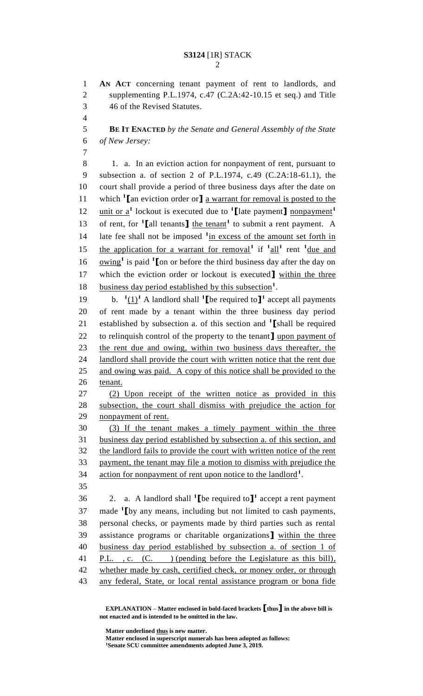**AN ACT** concerning tenant payment of rent to landlords, and supplementing P.L.1974, c.47 (C.2A:42-10.15 et seq.) and Title 46 of the Revised Statutes.

 **BE IT ENACTED** *by the Senate and General Assembly of the State of New Jersey:*

 1. a. In an eviction action for nonpayment of rent, pursuant to subsection a. of section 2 of P.L.1974, c.49 (C.2A:18-61.1), the court shall provide a period of three business days after the date on which **<sup>1</sup> [**an eviction order or**]** a warrant for removal is posted to the unit or a**<sup>1</sup>** lockout is executed due to **<sup>1</sup> [**late payment**]** nonpayment**<sup>1</sup>** 13 of rent, for  $\mathbf{1}$  [all tenants] the tenant<sup>1</sup> to submit a rent payment. A 14 late fee shall not be imposed <sup>1</sup>in excess of the amount set forth in 15 the application for a warrant for removal<sup>1</sup> if  $1 \text{ all}^1$  rent  $1 \text{ due and}$ 16  $\omega$  <u>owing</u><sup>1</sup> is paid <sup>1</sup> [on or before the third business day after the day on which the eviction order or lockout is executed**]** within the three 18 business day period established by this subsection<sup>1</sup>.

19 b.  $\frac{1}{1}$  A landlord shall  $\frac{1}{1}$  be required to  $\mathbf{I}^1$  accept all payments of rent made by a tenant within the three business day period established by subsection a. of this section and **<sup>1</sup> [**shall be required to relinquish control of the property to the tenant**]** upon payment of the rent due and owing, within two business days thereafter, the 24 landlord shall provide the court with written notice that the rent due 25 and owing was paid. A copy of this notice shall be provided to the tenant.

 (2) Upon receipt of the written notice as provided in this subsection, the court shall dismiss with prejudice the action for nonpayment of rent.

 (3) If the tenant makes a timely payment within the three business day period established by subsection a. of this section, and the landlord fails to provide the court with written notice of the rent payment, the tenant may file a motion to dismiss with prejudice the 34 action for nonpayment of rent upon notice to the landlord<sup>1</sup>. 

36 a. A landlord shall  $\text{1}$  [be required to  $\text{1}$ <sup>1</sup> accept a rent payment 37 made <sup>1</sup>I by any means, including but not limited to cash payments, personal checks, or payments made by third parties such as rental assistance programs or charitable organizations**]** within the three business day period established by subsection a. of section 1 of 41 P.L., c. (C. ) (pending before the Legislature as this bill), whether made by cash, certified check, or money order, or through any federal, State, or local rental assistance program or bona fide

**EXPLANATION – Matter enclosed in bold-faced brackets [thus] in the above bill is not enacted and is intended to be omitted in the law.**

**Matter underlined thus is new matter. Matter enclosed in superscript numerals has been adopted as follows: Senate SCU committee amendments adopted June 3, 2019.**